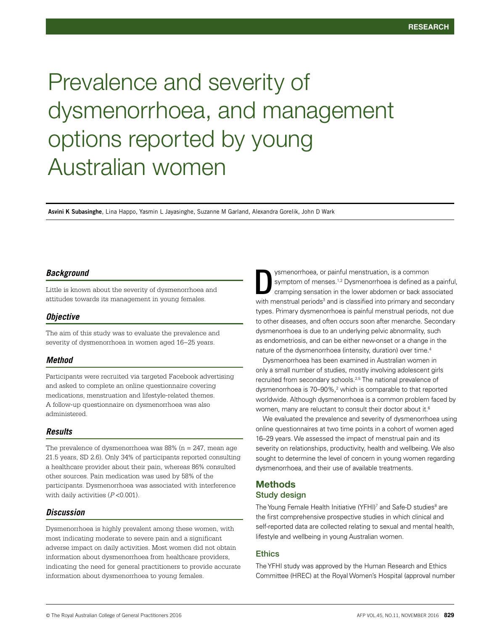# Prevalence and severity of dysmenorrhoea, and management options reported by young Australian women

**Asvini K Subasinghe**, Lina Happo, Yasmin L Jayasinghe, Suzanne M Garland, Alexandra Gorelik, John D Wark

#### *Background*

Little is known about the severity of dysmenorrhoea and attitudes towards its management in young females.

#### *Objective*

The aim of this study was to evaluate the prevalence and severity of dysmenorrhoea in women aged 16−25 years.

# *Method*

Participants were recruited via targeted Facebook advertising and asked to complete an online questionnaire covering medications, menstruation and lifestyle-related themes. A follow-up questionnaire on dysmenorrhoea was also administered.

## *Results*

The prevalence of dysmenorrhoea was  $88\%$  (n = 247, mean age 21.5 years, SD 2.6). Only 34% of participants reported consulting a healthcare provider about their pain, whereas 86% consulted other sources. Pain medication was used by 58% of the participants. Dysmenorrhoea was associated with interference with daily activities  $(P<0.001)$ .

#### *Discussion*

Dysmenorrhoea is highly prevalent among these women, with most indicating moderate to severe pain and a significant adverse impact on daily activities. Most women did not obtain information about dysmenorrhoea from healthcare providers, indicating the need for general practitioners to provide accurate information about dysmenorrhoea to young females.

ysmenorrhoea, or painful menstruation, is a common symptom of menses.<sup>1,2</sup> Dysmenorrhoea is defined as a painful, cramping sensation in the lower abdomen or back associated with menstrual periods<sup>3</sup> and is classified into primary and secondary types. Primary dysmenorrhoea is painful menstrual periods, not due to other diseases, and often occurs soon after menarche. Secondary dysmenorrhoea is due to an underlying pelvic abnormality, such as endometriosis, and can be either new-onset or a change in the nature of the dysmenorrhoea (intensity, duration) over time.<sup>4</sup> D

Dysmenorrhoea has been examined in Australian women in only a small number of studies, mostly involving adolescent girls recruited from secondary schools.2,5 The national prevalence of dysmenorrhoea is 70–90%,<sup>2</sup> which is comparable to that reported worldwide. Although dysmenorrhoea is a common problem faced by women, many are reluctant to consult their doctor about it.<sup>6</sup>

We evaluated the prevalence and severity of dysmenorrhoea using online questionnaires at two time points in a cohort of women aged 16–29 years. We assessed the impact of menstrual pain and its severity on relationships, productivity, health and wellbeing. We also sought to determine the level of concern in young women regarding dysmenorrhoea, and their use of available treatments.

# Methods Study design

The Young Female Health Initiative (YFHI)<sup>7</sup> and Safe-D studies<sup>8</sup> are the first comprehensive prospective studies in which clinical and self-reported data are collected relating to sexual and mental health, lifestyle and wellbeing in young Australian women.

#### Ethics

The YFHI study was approved by the Human Research and Ethics Committee (HREC) at the Royal Women's Hospital (approval number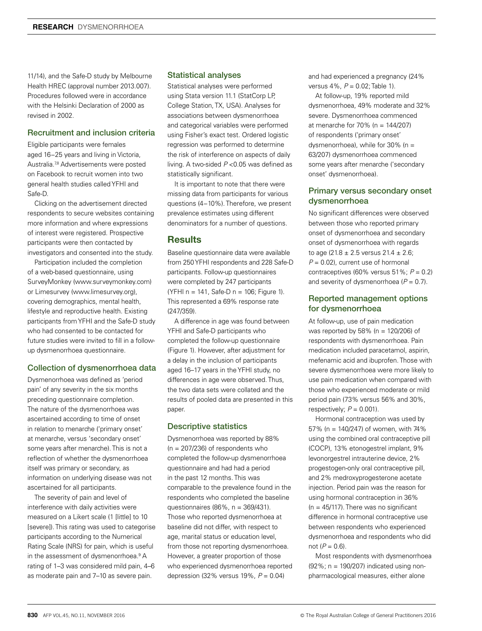11/14), and the Safe-D study by Melbourne Health HREC (approval number 2013.007). Procedures followed were in accordance with the Helsinki Declaration of 2000 as revised in 2002.

# Recruitment and inclusion criteria

Eligible participants were females aged 16−25 years and living in Victoria, Australia.7,8 Advertisements were posted on Facebook to recruit women into two general health studies called YFHI and Safe-D.

Clicking on the advertisement directed respondents to secure websites containing more information and where expressions of interest were registered. Prospective participants were then contacted by investigators and consented into the study.

Participation included the completion of a web-based questionnaire, using SurveyMonkey (www.surveymonkey.com) or Limesurvey (www.limesurvey.org), covering demographics, mental health, lifestyle and reproductive health. Existing participants from YFHI and the Safe-D study who had consented to be contacted for future studies were invited to fill in a followup dysmenorrhoea questionnaire.

## Collection of dysmenorrhoea data

Dysmenorrhoea was defined as 'period pain' of any severity in the six months preceding questionnaire completion. The nature of the dysmenorrhoea was ascertained according to time of onset in relation to menarche ('primary onset' at menarche, versus 'secondary onset' some years after menarche). This is not a reflection of whether the dysmenorrhoea itself was primary or secondary, as information on underlying disease was not ascertained for all participants.

The severity of pain and level of interference with daily activities were measured on a Likert scale (1 [little] to 10 [severe]). This rating was used to categorise participants according to the Numerical Rating Scale (NRS) for pain, which is useful in the assessment of dysmenorrhoea.<sup>9</sup> A rating of 1–3 was considered mild pain, 4–6 as moderate pain and 7–10 as severe pain.

#### Statistical analyses

Statistical analyses were performed using Stata version 11.1 (StatCorp LP, College Station, TX, USA). Analyses for associations between dysmenorrhoea and categorical variables were performed using Fisher's exact test. Ordered logistic regression was performed to determine the risk of interference on aspects of daily living. A two-sided *P* <0.05 was defined as statistically significant.

It is important to note that there were missing data from participants for various questions (4−10%). Therefore, we present prevalence estimates using different denominators for a number of questions.

#### **Results**

Baseline questionnaire data were available from 250 YFHI respondents and 228 Safe-D participants. Follow-up questionnaires were completed by 247 participants (YFHI n = 141, Safe-D n = 106; Figure 1). This represented a 69% response rate (247/359).

A difference in age was found between YFHI and Safe-D participants who completed the follow-up questionnaire (Figure 1). However, after adjustment for a delay in the inclusion of participants aged 16–17 years in the YFHI study, no differences in age were observed. Thus, the two data sets were collated and the results of pooled data are presented in this paper.

#### Descriptive statistics

Dysmenorrhoea was reported by 88%  $(n = 207/236)$  of respondents who completed the follow-up dysmenorrhoea questionnaire and had had a period in the past 12 months. This was comparable to the prevalence found in the respondents who completed the baseline questionnaires (86%, n = 369/431). Those who reported dysmenorrhoea at baseline did not differ, with respect to age, marital status or education level, from those not reporting dysmenorrhoea. However, a greater proportion of those who experienced dysmenorrhoea reported depression (32% versus 19%, *P* = 0.04)

and had experienced a pregnancy (24% versus 4%, *P* = 0.02; Table 1).

At follow-up, 19% reported mild dysmenorrhoea, 49% moderate and 32% severe. Dysmenorrhoea commenced at menarche for 70% (n = 144/207) of respondents ('primary onset' dysmenorrhoea), while for 30% (n = 63/207) dysmenorrhoea commenced some years after menarche ('secondary onset' dysmenorrhoea).

## Primary versus secondary onset dysmenorrhoea

No significant differences were observed between those who reported primary onset of dysmenorrhoea and secondary onset of dysmenorrhoea with regards to age (21.8  $\pm$  2.5 versus 21.4  $\pm$  2.6;  $P = 0.02$ , current use of hormonal contraceptives (60% versus 51%; *P* = 0.2) and severity of dysmenorrhoea  $(P = 0.7)$ .

## Reported management options for dysmenorrhoea

At follow-up, use of pain medication was reported by 58% (n = 120/206) of respondents with dysmenorrhoea. Pain medication included paracetamol, aspirin, mefenamic acid and ibuprofen. Those with severe dysmenorrhoea were more likely to use pain medication when compared with those who experienced moderate or mild period pain (73% versus 56% and 30%, respectively;  $P = 0.001$ ).

Hormonal contraception was used by 57% (n = 140/247) of women, with 74% using the combined oral contraceptive pill (COCP), 13% etonogestrel implant, 9% levonorgestrel intrauterine device, 2% progestogen-only oral contraceptive pill, and 2% medroxyprogesterone acetate injection. Period pain was the reason for using hormonal contraception in 36%  $(n = 45/117)$ . There was no significant difference in hormonal contraceptive use between respondents who experienced dysmenorrhoea and respondents who did not  $(P = 0.6)$ .

Most respondents with dysmenorrhoea (92%; n = 190/207) indicated using nonpharmacological measures, either alone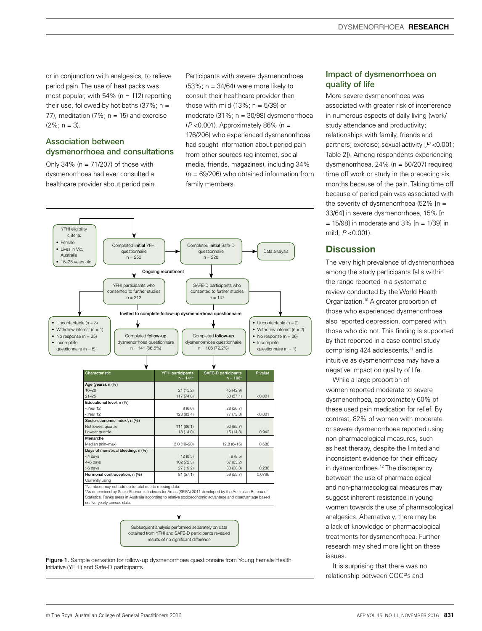or in conjunction with analgesics, to relieve period pain. The use of heat packs was most popular, with  $54\%$  (n = 112) reporting their use, followed by hot baths  $(37\%; n =$ 77), meditation  $(7\%; n = 15)$  and exercise  $(2\%: n = 3)$ .

# Association between dysmenorrhoea and consultations

Only 34% ( $n = 71/207$ ) of those with dysmenorrhoea had ever consulted a healthcare provider about period pain. Participants with severe dysmenorrhoea  $(53\%; n = 34/64)$  were more likely to consult their healthcare provider than those with mild  $(13\%; n = 5/39)$  or moderate (31%; n = 30/98) dysmenorrhoea (*P* <0.001). Approximately 86% (n = 176/206) who experienced dysmenorrhoea had sought information about period pain from other sources (eg internet, social media, friends, magazines), including 34%  $(n = 69/206)$  who obtained information from family members.



Initiative (YFHI) and Safe-D participants

# Impact of dysmenorrhoea on quality of life

More severe dysmenorrhoea was associated with greater risk of interference in numerous aspects of daily living (work/ study attendance and productivity; relationships with family, friends and partners; exercise; sexual activity [*P* <0.001; Table 2]). Among respondents experiencing dysmenorrhoea, 24% (n = 50/207) required time off work or study in the preceding six months because of the pain. Taking time off because of period pain was associated with the severity of dysmenorrhoea (52% [n = 33/64] in severe dysmenorrhoea, 15% [n  $= 15/98$ ] in moderate and 3%  $[n = 1/39]$  in mild; *P* <0.001).

# **Discussion**

The very high prevalence of dysmenorrhoea among the study participants falls within the range reported in a systematic review conducted by the World Health Organization.10 A greater proportion of those who experienced dysmenorrhoea also reported depression, compared with those who did not. This finding is supported by that reported in a case-control study comprising 424 adolescents,<sup>11</sup> and is intuitive as dysmenorrhoea may have a negative impact on quality of life.

While a large proportion of

women reported moderate to severe dysmenorrhoea, approximately 60% of these used pain medication for relief. By contrast, 82% of women with moderate or severe dysmenorrhoea reported using non-pharmacological measures, such as heat therapy, despite the limited and inconsistent evidence for their efficacy in dysmenorrhoea.<sup>12</sup> The discrepancy between the use of pharmacological and non-pharmacological measures may suggest inherent resistance in young women towards the use of pharmacological analgesics. Alternatively, there may be a lack of knowledge of pharmacological treatments for dysmenorrhoea. Further research may shed more light on these issues.

It is surprising that there was no relationship between COCPs and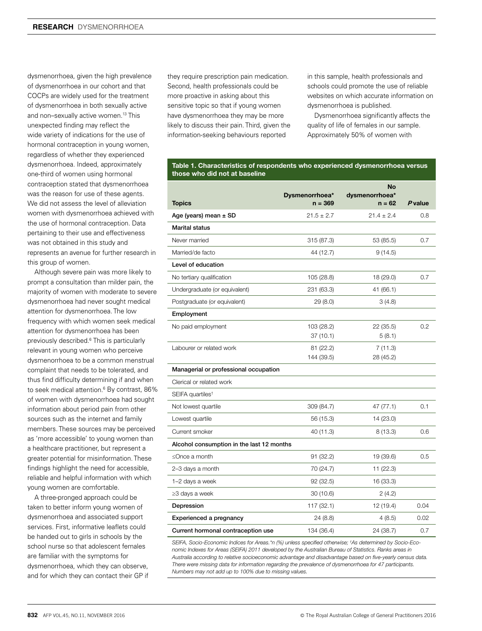dysmenorrhoea, given the high prevalence of dysmenorrhoea in our cohort and that COCPs are widely used for the treatment of dysmenorrhoea in both sexually active and non–sexually active women.13 This unexpected finding may reflect the wide variety of indications for the use of hormonal contraception in young women, regardless of whether they experienced dysmenorrhoea. Indeed, approximately one-third of women using hormonal contraception stated that dysmenorrhoea was the reason for use of these agents. We did not assess the level of alleviation women with dysmenorrhoea achieved with the use of hormonal contraception. Data pertaining to their use and effectiveness was not obtained in this study and represents an avenue for further research in this group of women.

Although severe pain was more likely to prompt a consultation than milder pain, the majority of women with moderate to severe dysmenorrhoea had never sought medical attention for dysmenorrhoea. The low frequency with which women seek medical attention for dysmenorrhoea has been previously described.6 This is particularly relevant in young women who perceive dysmenorrhoea to be a common menstrual complaint that needs to be tolerated, and thus find difficulty determining if and when to seek medical attention.<sup>6</sup> By contrast, 86% of women with dysmenorrhoea had sought information about period pain from other sources such as the internet and family members. These sources may be perceived as 'more accessible' to young women than a healthcare practitioner, but represent a greater potential for misinformation. These findings highlight the need for accessible, reliable and helpful information with which young women are comfortable.

A three-pronged approach could be taken to better inform young women of dysmenorrhoea and associated support services. First, informative leaflets could be handed out to girls in schools by the school nurse so that adolescent females are familiar with the symptoms for dysmenorrhoea, which they can observe, and for which they can contact their GP if they require prescription pain medication. Second, health professionals could be more proactive in asking about this sensitive topic so that if young women have dysmenorrhoea they may be more likely to discuss their pain. Third, given the information-seeking behaviours reported

in this sample, health professionals and schools could promote the use of reliable websites on which accurate information on dysmenorrhoea is published.

Dysmenorrhoea significantly affects the quality of life of females in our sample. Approximately 50% of women with

#### Table 1. Characteristics of respondents who experienced dysmenorrhoea versus those who did not at baseline

|                                           |                             | <b>No</b>                |                |
|-------------------------------------------|-----------------------------|--------------------------|----------------|
| <b>Topics</b>                             | Dysmenorrhoea*<br>$n = 369$ | dysmenorrhoea*<br>n = 62 | <b>P</b> value |
| Age (years) mean ± SD                     | $21.5 \pm 2.7$              | $21.4 \pm 2.4$           | 0.8            |
| <b>Marital status</b>                     |                             |                          |                |
| Never married                             | 315 (87.3)                  | 53 (85.5)                | 0.7            |
| Married/de facto                          | 44 (12.7)                   | 9(14.5)                  |                |
| Level of education                        |                             |                          |                |
| No tertiary qualification                 | 105 (28.8)                  | 18 (29.0)                | 0.7            |
| Undergraduate (or equivalent)             | 231 (63.3)                  | 41 (66.1)                |                |
| Postgraduate (or equivalent)              | 29 (8.0)                    | 3(4.8)                   |                |
| Employment                                |                             |                          |                |
| No paid employment                        | 103 (28.2)                  | 22 (35.5)                | 0.2            |
|                                           | 37(10.1)                    | 5(8.1)                   |                |
| Labourer or related work                  | 81 (22.2)                   | 7(11.3)                  |                |
|                                           | 144 (39.5)                  | 28 (45.2)                |                |
| Managerial or professional occupation     |                             |                          |                |
| Clerical or related work                  |                             |                          |                |
| SEIFA quartiles <sup>t</sup>              |                             |                          |                |
| Not lowest quartile                       | 309 (84.7)                  | 47 (77.1)                | 0.1            |
| Lowest quartile                           | 56 (15.3)                   | 14 (23.0)                |                |
| Current smoker                            | 40 (11.3)                   | 8(13.3)                  | 0.6            |
| Alcohol consumption in the last 12 months |                             |                          |                |
| $\leq$ Once a month                       | 91 (32.2)                   | 19 (39.6)                | 0.5            |
| 2-3 days a month                          | 70 (24.7)                   | 11 (22.3)                |                |
| 1-2 days a week                           | 92(32.5)                    | 16 (33.3)                |                |
| $\geq$ 3 days a week                      | 30(10.6)                    | 2(4.2)                   |                |
| Depression                                | 117 (32.1)                  | 12 (19.4)                | 0.04           |
| Experienced a pregnancy                   | 24 (8.8)                    | 4(8.5)                   | 0.02           |
| Current hormonal contraception use        | 134 (36.4)                  | 24 (38.7)                | 0.7            |

*SEIFA, Socio-Economic Indices for Areas.\*n (%) unless specified otherwise; † As determined by Socio-Economic Indexes for Areas (SEIFA) 2011 developed by the Australian Bureau of Statistics. Ranks areas in Australia according to relative socioeconomic advantage and disadvantage based on five-yearly census data. There were missing data for information regarding the prevalence of dysmenorrhoea for 47 participants. Numbers may not add up to 100% due to missing values.*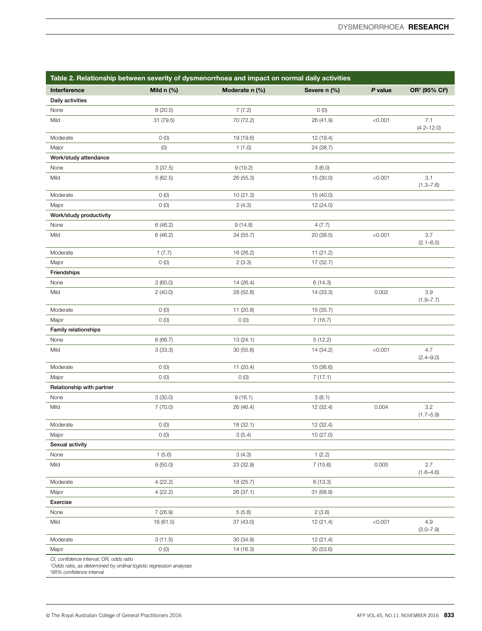| Table 2. Relationship between severity of dysmenorrhoea and impact on normal daily activities |                   |                |              |         |                                        |  |  |
|-----------------------------------------------------------------------------------------------|-------------------|----------------|--------------|---------|----------------------------------------|--|--|
| Interference                                                                                  | Mild $n$ (%)      | Moderate n (%) | Severe n (%) | P value | OR <sup>†</sup> (95% CI <sup>‡</sup> ) |  |  |
| Daily activities                                                                              |                   |                |              |         |                                        |  |  |
| None                                                                                          | 8 (20.5)          | 7(7.2)         | O(0)         |         |                                        |  |  |
| Mild                                                                                          | 31 (79.5)         | 70 (72.2)      | 26 (41.9)    | < 0.001 | 7.1<br>$(4.2 - 12.0)$                  |  |  |
| Moderate                                                                                      | O(0)              | 19 (19.6)      | 12 (19.4)    |         |                                        |  |  |
| Major                                                                                         | (0)               | 1(1.0)         | 24 (38.7)    |         |                                        |  |  |
| Work/study attendance                                                                         |                   |                |              |         |                                        |  |  |
| None                                                                                          | 3(37.5)           | 9(19.2)        | 3(6.0)       |         |                                        |  |  |
| Mild                                                                                          | 5(62.5)           | 26 (55.3)      | 15 (30.0)    | < 0.001 | 3.1<br>$(1.3 - 7.6)$                   |  |  |
| Moderate                                                                                      | O(0)              | 10 (21.3)      | 15 (40.0)    |         |                                        |  |  |
| Major                                                                                         | O(0)              | 2(4.3)         | 12 (24.0)    |         |                                        |  |  |
| Work/study productivity                                                                       |                   |                |              |         |                                        |  |  |
| None                                                                                          | 6(46.2)           | 9(14.8)        | 4(7.7)       |         |                                        |  |  |
| Mild                                                                                          | 6(46.2)           | 34 (55.7)      | 20 (38.5)    | < 0.001 | 3.7<br>$(2.1 - 6.5)$                   |  |  |
| Moderate                                                                                      | 1(7.7)            | 16 (26.2)      | 11 (21.2)    |         |                                        |  |  |
| Major                                                                                         | O(0)              | 2(3.3)         | 17 (32.7)    |         |                                        |  |  |
| Friendships                                                                                   |                   |                |              |         |                                        |  |  |
| None                                                                                          | 3(60.0)           | 14 (26.4)      | 6(14.3)      |         |                                        |  |  |
| Mild                                                                                          | 2(40.0)           | 28 (52.8)      | 14 (33.3)    | 0.002   | 3.9<br>$(1.9 - 7.7)$                   |  |  |
| Moderate                                                                                      | O(0)              | 11 (20.8)      | 15 (35.7)    |         |                                        |  |  |
| Major                                                                                         | O(0)              | O(0)           | 7(16.7)      |         |                                        |  |  |
| Family relationships                                                                          |                   |                |              |         |                                        |  |  |
| None                                                                                          | 6(66.7)           | 13 (24.1)      | 5(12.2)      |         |                                        |  |  |
| Mild                                                                                          | 3(33.3)           | 30(55.6)       | 14 (34.2)    | < 0.001 | 4.7<br>$(2.4 - 9.0)$                   |  |  |
| Moderate                                                                                      | O(0)              | 11 (20.4)      | 15 (36.6)    |         |                                        |  |  |
| Major                                                                                         | O(0)              | 0(0)           | 7(17.1)      |         |                                        |  |  |
| Relationship with partner                                                                     |                   |                |              |         |                                        |  |  |
| None                                                                                          | 3(30.0)           | 9(16.1)        | 3(8.1)       |         |                                        |  |  |
| Mild                                                                                          | 7(70.0)           | 26 (46.4)      | 12 (32.4)    | 0.004   | 3.2<br>$(1.7 - 5.9)$                   |  |  |
| Moderate                                                                                      | O(0)              | 18 (32.1)      | 12 (32.4)    |         |                                        |  |  |
| Major                                                                                         | $\left( 0\right)$ | 3(5.4)         | 10 (27.0)    |         |                                        |  |  |
| Sexual activity                                                                               |                   |                |              |         |                                        |  |  |
| None                                                                                          | 1(5.6)            | 3(4.3)         | 1(2.2)       |         |                                        |  |  |
| Mild                                                                                          | 9(50.0)           | 23 (32.9)      | 7(15.6)      | 0.005   | 2.7<br>$(1.6 - 4.6)$                   |  |  |
| Moderate                                                                                      | 4(22.2)           | 18 (25.7)      | 6(13.3)      |         |                                        |  |  |
| Major                                                                                         | 4(22.2)           | 26 (37.1)      | 31 (68.9)    |         |                                        |  |  |
| Exercise                                                                                      |                   |                |              |         |                                        |  |  |
| None                                                                                          | 7(26.9)           | 5(5.8)         | 2(3.6)       |         |                                        |  |  |
| Mild                                                                                          | 16 (61.5)         | 37 (43.0)      | 12(21.4)     | < 0.001 | 4.9<br>$(3.0 - 7.9)$                   |  |  |
| Moderate                                                                                      | 3(11.5)           | 30 (34.9)      | 12 (21.4)    |         |                                        |  |  |
| Major                                                                                         | O(0)              | 14 (16.3)      | 30 (53.6)    |         |                                        |  |  |
| Cl. confidence interval: OR. odds ratio                                                       |                   |                |              |         |                                        |  |  |

*CI, confidence interval; OR, odds ratio † Odds ratio, as determined by ordinal logistic regression analyses ‡ 95% confidence interval*